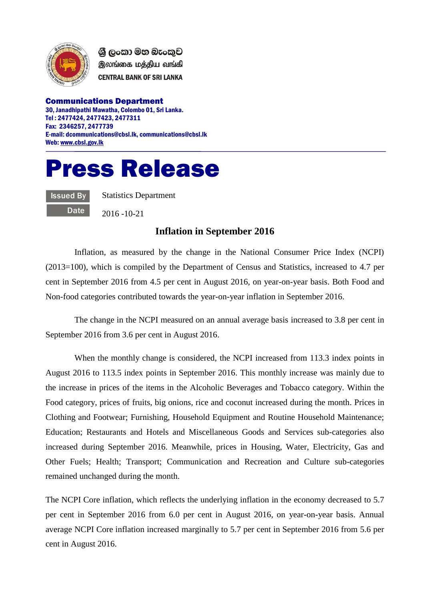

ශී ලංකා මහ බැංකුව இலங்கை மத்திய வங்கி **CENTRAL BANK OF SRI LANKA** 

Communications Department 30, Janadhipathi Mawatha, Colombo 01, Sri Lanka. Tel : 2477424, 2477423, 2477311 Fax: 2346257, 2477739 E-mail: dcommunications@cbsl.lk, communications@cbsl.lk Web[: www.cbsl.gov.lk](http://www.cbsl.gov.lk/)

## Press Release

Issued By **Date**  Statistics Department

2016 -10-21

## **Inflation in September 2016**

Inflation, as measured by the change in the National Consumer Price Index (NCPI) (2013=100), which is compiled by the Department of Census and Statistics, increased to 4.7 per cent in September 2016 from 4.5 per cent in August 2016, on year-on-year basis. Both Food and Non-food categories contributed towards the year-on-year inflation in September 2016.

The change in the NCPI measured on an annual average basis increased to 3.8 per cent in September 2016 from 3.6 per cent in August 2016.

When the monthly change is considered, the NCPI increased from 113.3 index points in August 2016 to 113.5 index points in September 2016. This monthly increase was mainly due to the increase in prices of the items in the Alcoholic Beverages and Tobacco category. Within the Food category, prices of fruits, big onions, rice and coconut increased during the month. Prices in Clothing and Footwear; Furnishing, Household Equipment and Routine Household Maintenance; Education; Restaurants and Hotels and Miscellaneous Goods and Services sub-categories also increased during September 2016. Meanwhile, prices in Housing, Water, Electricity, Gas and Other Fuels; Health; Transport; Communication and Recreation and Culture sub-categories remained unchanged during the month.

The NCPI Core inflation, which reflects the underlying inflation in the economy decreased to 5.7 per cent in September 2016 from 6.0 per cent in August 2016, on year-on-year basis. Annual average NCPI Core inflation increased marginally to 5.7 per cent in September 2016 from 5.6 per cent in August 2016.